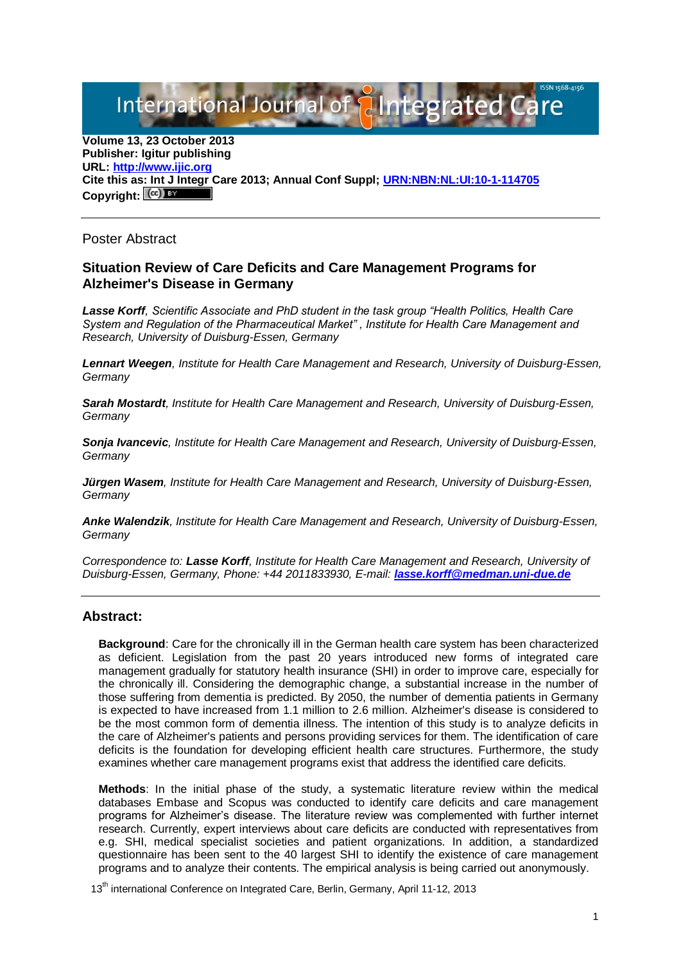International Journal of { aIntegrated

**Volume 13, 23 October 2013 Publisher: Igitur publishing URL[: http://www.ijic.org](http://www.ijic.org/) Cite this as: Int J Integr Care 2013; Annual Conf Suppl; [URN:NBN:NL:UI:10-1-114705](http://persistent-identifier.nl/?identifier=URN:NBN:NL:UI:10-1-114705)** Copyright:  $(cc)$ 

Poster Abstract

## **Situation Review of Care Deficits and Care Management Programs for Alzheimer's Disease in Germany**

*Lasse Korff, Scientific Associate and PhD student in the task group "Health Politics, Health Care System and Regulation of the Pharmaceutical Market" , Institute for Health Care Management and Research, University of Duisburg-Essen, Germany*

*Lennart Weegen, Institute for Health Care Management and Research, University of Duisburg-Essen, Germany*

*Sarah Mostardt, Institute for Health Care Management and Research, University of Duisburg-Essen, Germany*

*Sonja Ivancevic, Institute for Health Care Management and Research, University of Duisburg-Essen, Germany*

*Jürgen Wasem, Institute for Health Care Management and Research, University of Duisburg-Essen, Germany*

*Anke Walendzik, Institute for Health Care Management and Research, University of Duisburg-Essen, Germany*

*Correspondence to: Lasse Korff, Institute for Health Care Management and Research, University of Duisburg-Essen, Germany, Phone: +44 2011833930, E-mail: [lasse.korff@medman.uni-due.de](mailto:lasse.korff@medman.uni-due.de)*

## **Abstract:**

**Background**: Care for the chronically ill in the German health care system has been characterized as deficient. Legislation from the past 20 years introduced new forms of integrated care management gradually for statutory health insurance (SHI) in order to improve care, especially for the chronically ill. Considering the demographic change, a substantial increase in the number of those suffering from dementia is predicted. By 2050, the number of dementia patients in Germany is expected to have increased from 1.1 million to 2.6 million. Alzheimer's disease is considered to be the most common form of dementia illness. The intention of this study is to analyze deficits in the care of Alzheimer's patients and persons providing services for them. The identification of care deficits is the foundation for developing efficient health care structures. Furthermore, the study examines whether care management programs exist that address the identified care deficits.

**Methods**: In the initial phase of the study, a systematic literature review within the medical databases Embase and Scopus was conducted to identify care deficits and care management programs for Alzheimer's disease. The literature review was complemented with further internet research. Currently, expert interviews about care deficits are conducted with representatives from e.g. SHI, medical specialist societies and patient organizations. In addition, a standardized questionnaire has been sent to the 40 largest SHI to identify the existence of care management programs and to analyze their contents. The empirical analysis is being carried out anonymously.

13<sup>th</sup> international Conference on Integrated Care, Berlin, Germany, April 11-12, 2013